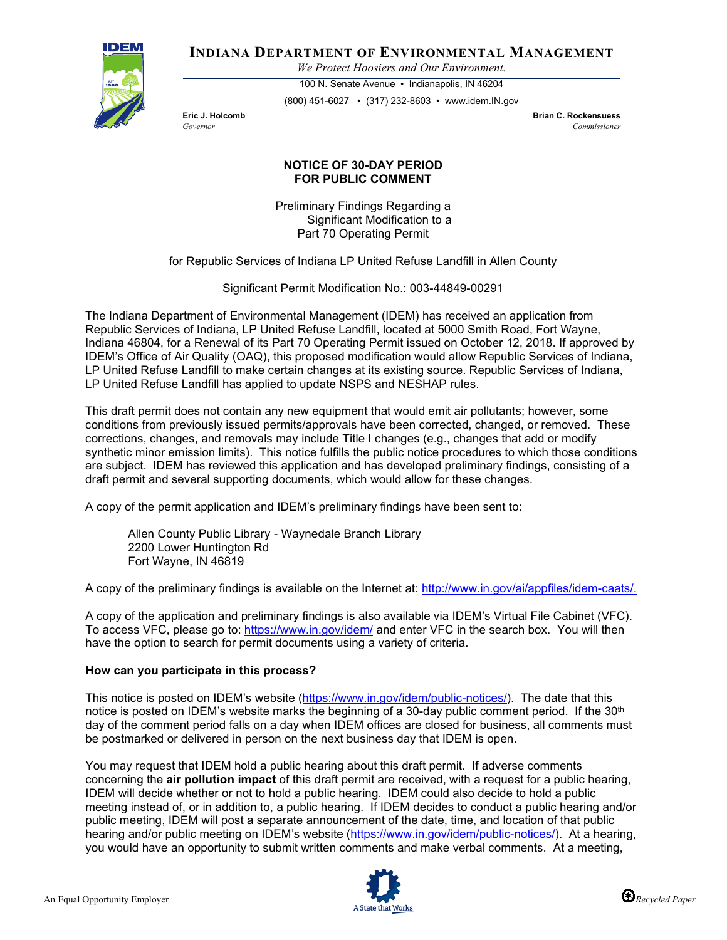

# **INDIANA DEPARTMENT OF ENVIRONMENTAL MANAGEMENT**

*We Protect Hoosiers and Our Environment.*

100 N. Senate Avenue • Indianapolis, IN 46204 (800) 451-6027 • (317) 232-8603 • www.idem.IN.gov

**Eric J. Holcomb Brian C. Rockensuess** *Governor Commissioner* 

## **NOTICE OF 30-DAY PERIOD FOR PUBLIC COMMENT**

Preliminary Findings Regarding a Significant Modification to a Part 70 Operating Permit

for Republic Services of Indiana LP United Refuse Landfill in Allen County

Significant Permit Modification No.: 003-44849-00291

The Indiana Department of Environmental Management (IDEM) has received an application from Republic Services of Indiana, LP United Refuse Landfill, located at 5000 Smith Road, Fort Wayne, Indiana 46804, for a Renewal of its Part 70 Operating Permit issued on October 12, 2018. If approved by IDEM's Office of Air Quality (OAQ), this proposed modification would allow Republic Services of Indiana, LP United Refuse Landfill to make certain changes at its existing source. Republic Services of Indiana, LP United Refuse Landfill has applied to update NSPS and NESHAP rules.

This draft permit does not contain any new equipment that would emit air pollutants; however, some conditions from previously issued permits/approvals have been corrected, changed, or removed. These corrections, changes, and removals may include Title I changes (e.g., changes that add or modify synthetic minor emission limits). This notice fulfills the public notice procedures to which those conditions are subject. IDEM has reviewed this application and has developed preliminary findings, consisting of a draft permit and several supporting documents, which would allow for these changes.

A copy of the permit application and IDEM's preliminary findings have been sent to:

Allen County Public Library - Waynedale Branch Library 2200 Lower Huntington Rd Fort Wayne, IN 46819

A copy of the preliminary findings is available on the Internet at: [http://www.in.gov/ai/appfiles/idem-caats/.](http://www.in.gov/ai/appfiles/idem-caats/)

A copy of the application and preliminary findings is also available via IDEM's Virtual File Cabinet (VFC). To access VFC, please go to:<https://www.in.gov/idem/> and enter VFC in the search box. You will then have the option to search for permit documents using a variety of criteria.

### **How can you participate in this process?**

This notice is posted on IDEM's website [\(https://www.in.gov/idem/public-notices/\)](https://www.in.gov/idem/public-notices/). The date that this notice is posted on IDEM's website marks the beginning of a 30-day public comment period. If the 30<sup>th</sup> day of the comment period falls on a day when IDEM offices are closed for business, all comments must be postmarked or delivered in person on the next business day that IDEM is open.

You may request that IDEM hold a public hearing about this draft permit. If adverse comments concerning the **air pollution impact** of this draft permit are received, with a request for a public hearing, IDEM will decide whether or not to hold a public hearing. IDEM could also decide to hold a public meeting instead of, or in addition to, a public hearing. If IDEM decides to conduct a public hearing and/or public meeting, IDEM will post a separate announcement of the date, time, and location of that public hearing and/or public meeting on IDEM's website [\(https://www.in.gov/idem/public-notices/\)](https://www.in.gov/idem/public-notices/). At a hearing, you would have an opportunity to submit written comments and make verbal comments. At a meeting,